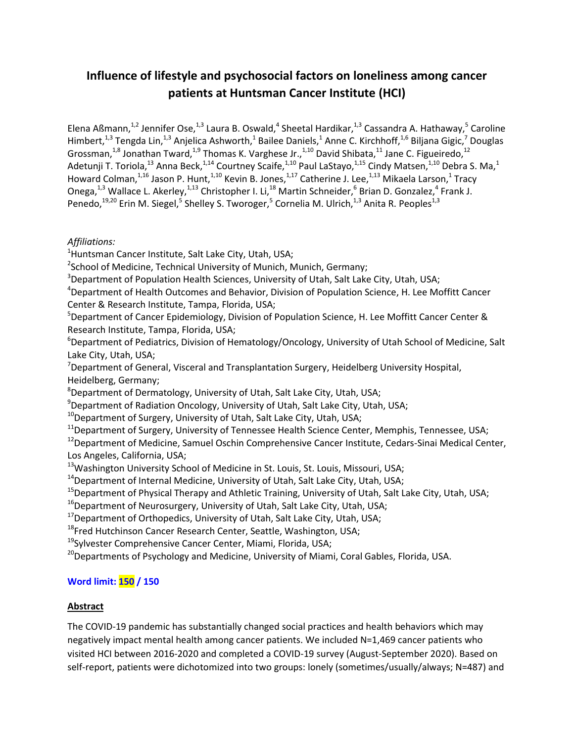## **Influence of lifestyle and psychosocial factors on loneliness among cancer patients at Huntsman Cancer Institute (HCI)**

Elena Aßmann,<sup>1,2</sup> Jennifer Ose,<sup>1,3</sup> Laura B. Oswald,<sup>4</sup> Sheetal Hardikar,<sup>1,3</sup> Cassandra A. Hathaway,<sup>5</sup> Caroline Himbert,<sup>1,3</sup> Tengda Lin,<sup>1,3</sup> Anjelica Ashworth,<sup>1</sup> Bailee Daniels,<sup>1</sup> Anne C. Kirchhoff,<sup>1,6</sup> Biljana Gigic,<sup>7</sup> Douglas Grossman,<sup>1,8</sup> Jonathan Tward,<sup>1,9</sup> Thomas K. Varghese Jr.,<sup>1,10</sup> David Shibata,<sup>11</sup> Jane C. Figueiredo,<sup>12</sup> Adetunji T. Toriola,<sup>13</sup> Anna Beck,<sup>1,14</sup> Courtney Scaife,<sup>1,10</sup> Paul LaStayo,<sup>1,15</sup> Cindy Matsen,<sup>1,10</sup> Debra S. Ma,<sup>1</sup> Howard Colman,<sup>1,16</sup> Jason P. Hunt,<sup>1,10</sup> Kevin B. Jones,<sup>1,17</sup> Catherine J. Lee,<sup>1,13</sup> Mikaela Larson,<sup>1</sup> Tracy Onega,<sup>1,3</sup> Wallace L. Akerley,<sup>1,13</sup> Christopher I. Li,<sup>18</sup> Martin Schneider,<sup>6</sup> Brian D. Gonzalez,<sup>4</sup> Frank J. Penedo,<sup>19,20</sup> Erin M. Siegel,<sup>5</sup> Shelley S. Tworoger,<sup>5</sup> Cornelia M. Ulrich,<sup>1,3</sup> Anita R. Peoples<sup>1,3</sup>

## *Affiliations:*

<sup>1</sup>Huntsman Cancer Institute, Salt Lake City, Utah, USA;

<sup>2</sup>School of Medicine, Technical University of Munich, Munich, Germany;

<sup>3</sup>Department of Population Health Sciences, University of Utah, Salt Lake City, Utah, USA;

<sup>4</sup>Department of Health Outcomes and Behavior, Division of Population Science, H. Lee Moffitt Cancer Center & Research Institute, Tampa, Florida, USA;

 $5$ Department of Cancer Epidemiology, Division of Population Science, H. Lee Moffitt Cancer Center & Research Institute, Tampa, Florida, USA;

 $6$ Department of Pediatrics, Division of Hematology/Oncology, University of Utah School of Medicine, Salt Lake City, Utah, USA;

 $7$ Department of General, Visceral and Transplantation Surgery, Heidelberg University Hospital, Heidelberg, Germany;

 $8$ Department of Dermatology, University of Utah, Salt Lake City, Utah, USA;

<sup>9</sup>Department of Radiation Oncology, University of Utah, Salt Lake City, Utah, USA;

 $10$ Department of Surgery, University of Utah, Salt Lake City, Utah, USA;

 $11$ Department of Surgery, University of Tennessee Health Science Center, Memphis, Tennessee, USA;

<sup>12</sup>Department of Medicine, Samuel Oschin Comprehensive Cancer Institute, Cedars-Sinai Medical Center, Los Angeles, California, USA;

<sup>13</sup>Washington University School of Medicine in St. Louis, St. Louis, Missouri, USA;

 $14$ Department of Internal Medicine, University of Utah, Salt Lake City, Utah, USA;

<sup>15</sup>Department of Physical Therapy and Athletic Training, University of Utah, Salt Lake City, Utah, USA;

 $16$ Department of Neurosurgery, University of Utah, Salt Lake City, Utah, USA;

 $17$ Department of Orthopedics, University of Utah, Salt Lake City, Utah, USA;

<sup>18</sup>Fred Hutchinson Cancer Research Center, Seattle, Washington, USA;

<sup>19</sup>Sylvester Comprehensive Cancer Center, Miami, Florida, USA;

<sup>20</sup>Departments of Psychology and Medicine, University of Miami, Coral Gables, Florida, USA.

## **Word limit: 150 / 150**

## **Abstract**

The COVID-19 pandemic has substantially changed social practices and health behaviors which may negatively impact mental health among cancer patients. We included N=1,469 cancer patients who visited HCI between 2016-2020 and completed a COVID-19 survey (August-September 2020). Based on self-report, patients were dichotomized into two groups: lonely (sometimes/usually/always; N=487) and